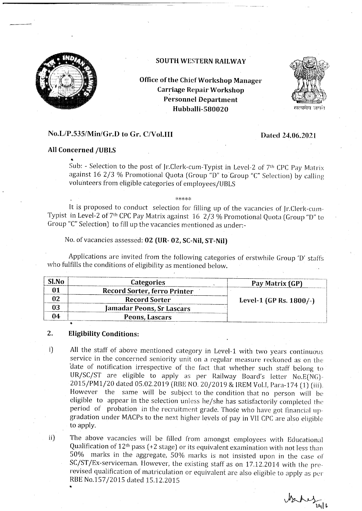

### SOUTH WESTERN RAILWAY

Office of the Chief Workshop Manager Carriage Repair Workshop Personnel Department Hubballi-580020



### No.L/P.53S/Min/Gr.D to Gr. C/VoI.III

### Dated 24.06.2021

### All Concerned /UBIS

.

Sub: - Selection to the post of Jr.Clerk-cum-Typist in Level-2 of 7<sup>th</sup> CPC Pay Matrix against 16  $2/3$  % Promotional Quota (Group "D" to Group "C" Selection) by calling volunteers from eligible categories of employees/UBLS

:k\*\*\*)1.

It is proposed to conduct selection for filling up of the vacancies of Jr.Clerk-cum-Typist in Level-2 of 7<sup>th</sup> CPC Pay Matrix against 16 2/3 % Promotional Quota (Group "D" to Group "C" Selection) to fill up the vacancies mentioned as under:-

No. of vacancies assessed: 02 (UR- 02, SC-Nil, ST-Nil)

Applications are invited from the following categories of erstwhile Group 'D' staffs who fulfills the conditions of eligibility as mentioned below.

| Categories                       | Pay Matrix (GP)            |
|----------------------------------|----------------------------|
| Record Sorter, ferro Printer     |                            |
| <b>Record Sorter</b>             | Level-1 (GP Rs. $1800/-$ ) |
| <b>Jamadar Peons, Sr Lascars</b> |                            |
| Peons, Lascars                   |                            |
|                                  |                            |

#### Eligibility Conditions : .,

- All the staff of above mentioned category in Level-1 with two years continuous service in the concerned seniority unit on a regular measure reckoned as on the date of notification irrespective of the fact that whether such staff belong to UR/SC/ST are eligible to apply as per Railway Board's letter No.E(NG)-<br>2015/PM1/20 dated 05.02.2019 (RBE NO. 20/2019 & IREM Vol.I, Para-174 ( However the same will be subject to the condition that no person will be eligible to appear in the selection unless he/she has satisfactorily completed the period of probation in the recruitment grade. Those who have got financial  $up$ gradation under MACPs to the next higher levels of pay in VII CPC are also eligible to apply. i)
- The above vacancies will be filled from amongst employees with Educational Qualification of  $12<sup>th</sup>$  pass (+2 stage) or its equivalent examination with not less than  $50\%$  marks in the aggregate,  $50\%$  marks is not insisted upon in the case of SC/ST/Ex-serviceman. However, the existing staff as on 17.12.2014 with the prerevised qualification of matriculation or equivalent are also eligible to apply as per RBE No.157 /2015 dated 15.12.2015 ii)

 $Jz$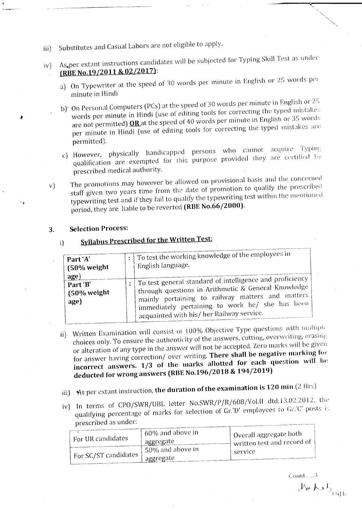- Substitutes and Casual Labors are not eligible to apply. iii)
- As per extant instructions candidates will be subjected for Typing Skill Test as under  $|v\rangle$ (RBE No.19/2011 & 02/2017):
	- a) On Typewriter at the speed of 30 words per minute in English or 25 words per minute in Hindi
	- b)' On Personal Computers (PCs) at the speed of 30 words per minute in English or 25 words per minute in Hindi (use of editing tools for correcting the typed mistakes are not permitted) **OR** at the speed of 40 words per minute in English or 35 words per minute in Hindi (use of editing tools for correcting the typed mistakes are permitted).
	- c) However, physically handicapped persons who cannot acquire Typing qualification are exempted for this purpose provided they are certified by prescribed medical authority.
	- The promotions may however be allowed on provisional basis and the concerned staff given two years time from the date of promotion to qualify the prescribed  $V$ typewriting test and if they fail to qualify the typewriting test within the mentioned period, they are liable to be reverted (RBE No.66/2000).

#### **Selection Process:**  $3.$

٠,

### **Syllabus Prescribed for the Written Test:** i)

| Part 'A'<br>$(50\%$ weight<br>age) | To test the working knowledge of the employees in<br>English language.                                                                                                                                                                                                |
|------------------------------------|-----------------------------------------------------------------------------------------------------------------------------------------------------------------------------------------------------------------------------------------------------------------------|
| Part 'B'<br>$(50\%$ weight<br>age) | : To test general standard of intelligence and proficiency<br>through questions in Arithmetic & General Knowledge<br>mainly pertaining to railway matters and matters<br>immediately pertaining to work he/ she has been<br>acquainted with his/ her Railway service. |

- Written Examination will consist of 100% Objective Type questions with multipic choices only. To ensure the authenticity of the answers, cutting, overwriting, erasing ii). or alteration of any type in the answer will not be accepted. Zero marks will be given for answer having correction/ over writing. There shall be negative marking for incorrect answers. 1/3 of the marks allotted for each question will be deducted for wrong answers (RBE No.196/2018 & 194/2019)
- iii) As per extant instruction, the duration of the examination is  $120 \text{ min}$  (2 Hrs)
- iv) In terms of CPO/SWR/UBL letter No.SWR/P/R/608/Vol.II dtd.13.02.2012, the qualifying percentage of marks for selection of Gr.'D' employees to Gr.'C' posts is prescribed as under:

|                                   | $-60\%$ and above in         | $^{\mathrm{+}}$ Overall aggregate both $^{\mathrm{+}}$ |
|-----------------------------------|------------------------------|--------------------------------------------------------|
| ' For UR candidates               | aggregate                    | written test and record of                             |
| <sup>+</sup> For SC/ST candidates | $^{\prime}$ 50% and above in | service                                                |
|                                   | i aggregate                  |                                                        |

 $Contd.\ldots.3$ 

 $M_{\rm F}$   $M_{\rm H}$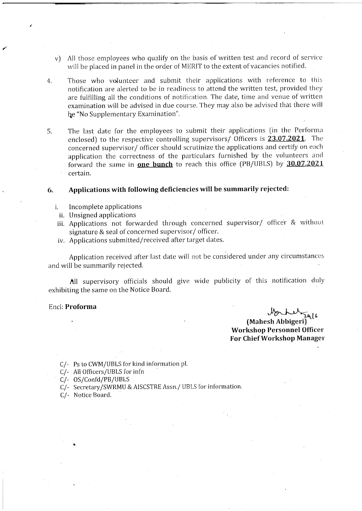- All those employees who qualify on the basis of written test and record of service  $V$ will be placed in panel in the order of MERIT to the extent of vacancies notified.
- Those who volunteer and submit their applications with reference to this  $4<sub>1</sub>$ notification are alerted to be in readiness to attend the written test, provided they are fulfilling all the conditions of notification. The date, time and venue of written examination will be advised in due course. They may also be advised that there will be "No Supplementary Examination".
- The last date for the employees to submit their applications (in the Performa 5. enclosed) to the respective controlling supervisors/ Officers is 23.07.2021. The concerned supervisor/ officer should scrutinize the applications and certify on each application the correctness of the particulars furnished by the volunteers and forward the same in **one bunch** to reach this office (PB/UBLS) by 30.07.2021 certain.

#### Applications with following deficiencies will be summarily rejected: 6.

- Incomplete applications i.
- ii. Unsigned applications
- iii. Applications not forwarded through concerned supervisor/ officer & without signature & seal of concerned supervisor/ officer.
- iv. Applications submitted/received after target dates.

Application received after last date will not be considered under any circumstances and will be summarily rejected.

All supervisory officials should give wide publicity of this notification duly exhibiting the same on the Notice Board.

### Encl: Proforma

March 1/2 **Workshop Personnel Officer** For Chief Workshop Manager

C/- Ps to CWM/UBLS for kind information pl.

C/- All Officers/UBLS for infn

 $C$ /-  $OS/Confd/PB/UBLS$ 

C/- Secretary/SWRMU & AISCSTRE Assn./ UBLS for information.

C/- Notice Board.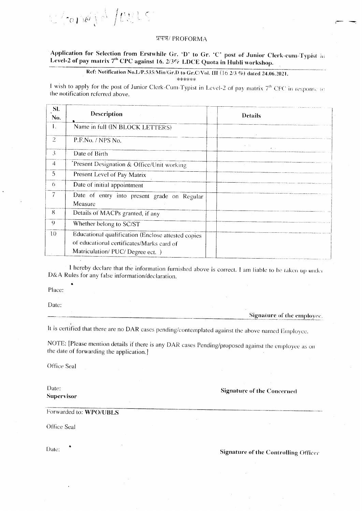

## प्रपत्र/ PROFORMA

# Application for Selection from Erstwhile Gr. 'D' to Gr. 'C' post of Junior Clerk-cum-Typist in Level-2 of pay matrix 7<sup>th</sup> CPC against 16. 2/3% LDCE Quota in Hubli workshop.

Ref: Notification No.L/P.535/Min/Gr.D to Gr.C/Vol. III (16 2/3 %) dated 24.06.2021.

\*\*\*\*\*\*

I wish to apply for the post of Junior Clerk-Cum-Typist in Level-2 of pay matrix 7<sup>th</sup> CPC in response to the notification referred above.

| Description                                                                                     | <b>Details</b>                    |
|-------------------------------------------------------------------------------------------------|-----------------------------------|
| Name in full (IN BLOCK LETTERS)                                                                 |                                   |
| P.F.No. / NPS No.                                                                               |                                   |
| Date of Birth                                                                                   |                                   |
| Present Designation & Office/Unit working                                                       |                                   |
| Present Level of Pay Matrix                                                                     |                                   |
| Date of initial appointment                                                                     |                                   |
| Date of entry into present grade on Regular<br>Measure                                          |                                   |
| Details of MACPs granted, if any                                                                |                                   |
| Whether belong to SC/ST                                                                         |                                   |
| Educational qualification (Enclose attested copies<br>of educational certificates/Marks card of |                                   |
|                                                                                                 | Matriculation/ PUC/ Degree ect. ) |

I hereby declare that the information furnished above is correct. I am liable to be taken up under D&A Rules for any false information/declaration.

Place:

Date:

Signature of the employee.

It is certified that there are no DAR cases pending/contemplated against the above named Employee.

NOTE: [Please mention details if there is any DAR cases Pending/proposed against the employee as on the date of forwarding the application.]

Office Seal

Date: **Supervisor** 

**Signature of the Concerned** 

Forwarded to: WPO/UBLS

Office Seal

Date:

**Signature of the Controlling Officer**